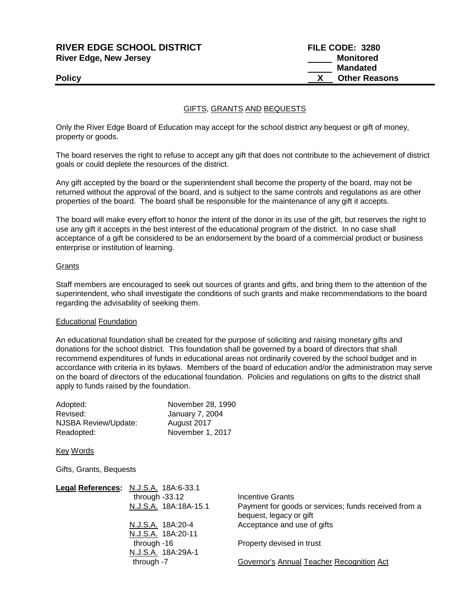**RIVER EDGE SCHOOL DISTRICT FILE CODE: 3280 River Edge, New Jersey Monitored Mandated Policy X** Other Reasons

## GIFTS, GRANTS AND BEQUESTS

Only the River Edge Board of Education may accept for the school district any bequest or gift of money, property or goods.

The board reserves the right to refuse to accept any gift that does not contribute to the achievement of district goals or could deplete the resources of the district.

Any gift accepted by the board or the superintendent shall become the property of the board, may not be returned without the approval of the board, and is subject to the same controls and regulations as are other properties of the board. The board shall be responsible for the maintenance of any gift it accepts.

The board will make every effort to honor the intent of the donor in its use of the gift, but reserves the right to use any gift it accepts in the best interest of the educational program of the district. In no case shall acceptance of a gift be considered to be an endorsement by the board of a commercial product or business enterprise or institution of learning.

### **Grants**

Staff members are encouraged to seek out sources of grants and gifts, and bring them to the attention of the superintendent, who shall investigate the conditions of such grants and make recommendations to the board regarding the advisability of seeking them.

### Educational Foundation

An educational foundation shall be created for the purpose of soliciting and raising monetary gifts and donations for the school district. This foundation shall be governed by a board of directors that shall recommend expenditures of funds in educational areas not ordinarily covered by the school budget and in accordance with criteria in its bylaws. Members of the board of education and/or the administration may serve on the board of directors of the educational foundation. Policies and regulations on gifts to the district shall apply to funds raised by the foundation.

| Adopted:             | November 28, 1990      |
|----------------------|------------------------|
| Revised:             | <b>January 7, 2004</b> |
| NJSBA Review/Update: | August 2017            |
| Readopted:           | November 1, 2017       |

Key Words

Gifts, Grants, Bequests

| Legal References: N.J.S.A. 18A:6-33.1   |                                                                                 |
|-----------------------------------------|---------------------------------------------------------------------------------|
| through $-33.12$                        | Incentive Grants                                                                |
| N.J.S.A. 18A:18A-15.1                   | Payment for goods or services; funds received from a<br>bequest, legacy or gift |
| N.J.S.A. 18A:20-4<br>N.J.S.A. 18A:20-11 | Acceptance and use of gifts                                                     |
| through -16<br>N.J.S.A. 18A:29A-1       | Property devised in trust                                                       |
| through -7                              | Governor's Annual Teacher Recognition Act                                       |
|                                         |                                                                                 |